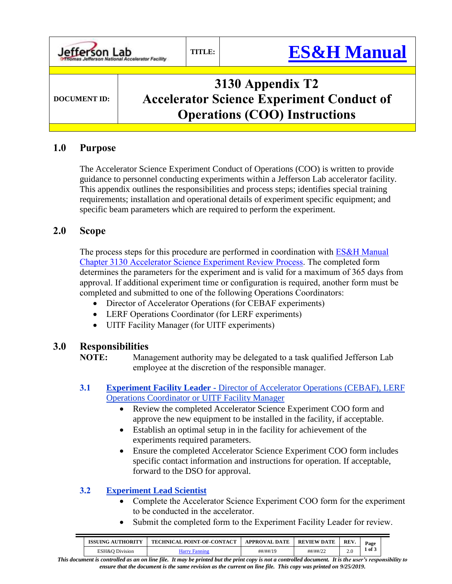| Jefferson Lab       | TITLE: | <b>ES&amp;H Manual</b>                                                                                       |
|---------------------|--------|--------------------------------------------------------------------------------------------------------------|
| <b>DOCUMENT ID:</b> |        | 3130 Appendix T2<br><b>Accelerator Science Experiment Conduct of</b><br><b>Operations (COO) Instructions</b> |

## **1.0 Purpose**

The Accelerator Science Experiment Conduct of Operations (COO) is written to provide guidance to personnel conducting experiments within a Jefferson Lab accelerator facility. This appendix outlines the responsibilities and process steps; identifies special training requirements; installation and operational details of experiment specific equipment; and specific beam parameters which are required to perform the experiment.

## **2.0 Scope**

The process steps for this procedure are performed in coordination with **ES&H Manual** [Chapter 3130 Accelerator Science](http://www.jlab.org/ehs/ehsmanual/3130.htm) Experiment Review Process. The completed form determines the parameters for the experiment and is valid for a maximum of 365 days from approval. If additional experiment time or configuration is required, another form must be completed and submitted to one of the following Operations Coordinators:

- Director of Accelerator Operations (for CEBAF experiments)
- LERF Operations Coordinator (for LERF experiments)
- UITF Facility Manager (for UITF experiments)

# **3.0 Responsibilities**

**NOTE:** Management authority may be delegated to a task qualified Jefferson Lab employee at the discretion of the responsible manager.

- **3.1 Experiment Facility Leader -** Director of Accelerator Operations (CEBAF), LERF Operations Coordinator or UITF Facility Manager
	- Review the completed Accelerator Science Experiment COO form and approve the new equipment to be installed in the facility, if acceptable.
	- Establish an optimal setup in in the facility for achievement of the experiments required parameters.
	- Ensure the completed Accelerator Science Experiment COO form includes specific contact information and instructions for operation. If acceptable, forward to the DSO for approval.

#### **3.2 Experiment Lead Scientist**

- Complete the Accelerator Science Experiment COO form for the experiment to be conducted in the accelerator.
- Submit the completed form to the Experiment Facility Leader for review.

| <b>ISSUING AUTHORITY</b> | <b>TECHNICAL POINT-OF-CONTACT</b> | <b>APPROVAL DATE</b> | <b>REVIEW DATE</b> | <b>REV</b> | Page |
|--------------------------|-----------------------------------|----------------------|--------------------|------------|------|
| ESH&O Division           | darrv                             | ##/##/19             | ##/##/22           | <u>.</u>   | of 3 |

*This document is controlled as an on line file. It may be printed but the print copy is not a controlled document. It is the user's responsibility to ensure that the document is the same revision as the current on line file. This copy was printed on 9/25/2019.*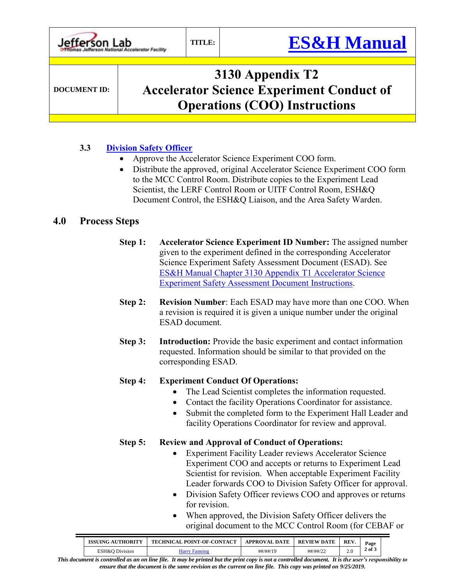| Jefferson Lab       | TITLE: | <b>ES&amp;H Manual</b>                                                                                       |
|---------------------|--------|--------------------------------------------------------------------------------------------------------------|
| <b>DOCUMENT ID:</b> |        | 3130 Appendix T2<br><b>Accelerator Science Experiment Conduct of</b><br><b>Operations (COO) Instructions</b> |

## **3.3 [Division Safety Officer](https://mis.jlab.org/mis/portal/dso_list.cfm?noheader=1)**

- Approve the Accelerator Science Experiment COO form.
- Distribute the approved, original Accelerator Science Experiment COO form to the MCC Control Room. Distribute copies to the Experiment Lead Scientist, the LERF Control Room or UITF Control Room, ESH&Q Document Control, the ESH&Q Liaison, and the Area Safety Warden.

## **4.0 Process Steps**

- **Step 1: Accelerator Science Experiment ID Number:** The assigned number given to the experiment defined in the corresponding Accelerator Science Experiment Safety Assessment Document (ESAD). See [ES&H Manual Chapter 3130 Appendix T1 Accelerator Science](http://www.jlab.org/ehs/ehsmanual/3130T1.htm) [Experiment Safety Assessment Document](http://www.jlab.org/ehs/ehsmanual/3130T1.htm) Instructions.
- **Step 2: Revision Number**: Each ESAD may have more than one COO. When a revision is required it is given a unique number under the original ESAD document.
- **Step 3: Introduction:** Provide the basic experiment and contact information requested. Information should be similar to that provided on the corresponding ESAD.

#### **Step 4: Experiment Conduct Of Operations:**

- The Lead Scientist completes the information requested.
- Contact the facility Operations Coordinator for assistance.
- Submit the completed form to the Experiment Hall Leader and facility Operations Coordinator for review and approval.

#### **Step 5: Review and Approval of Conduct of Operations:**

- Experiment Facility Leader reviews Accelerator Science Experiment COO and accepts or returns to Experiment Lead Scientist for revision. When acceptable Experiment Facility Leader forwards COO to Division Safety Officer for approval.
- Division Safety Officer reviews COO and approves or returns for revision.
- When approved, the Division Safety Officer delivers the original document to the MCC Control Room (for CEBAF or

| <b>ISSUING AUTHORITY</b> | <b>TECHNICAL POINT-OF-CONTACT</b> | <b>APPROVAL DATE</b> | <b>REVIEW DATE</b> | <b>REV</b> | Page       |
|--------------------------|-----------------------------------|----------------------|--------------------|------------|------------|
| ESH&O Division           | Harry Fanning                     | ##/##/19             | ##/##/22           | <u>.</u>   | $2$ of $3$ |

*This document is controlled as an on line file. It may be printed but the print copy is not a controlled document. It is the user's responsibility to ensure that the document is the same revision as the current on line file. This copy was printed on 9/25/2019.*